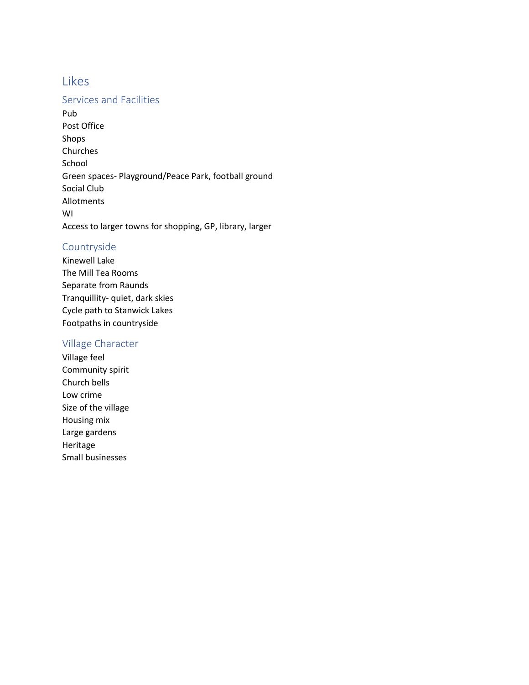# Likes

#### Services and Facilities

Pub Post Office Shops Churches School Green spaces- Playground/Peace Park, football ground Social Club Allotments WI Access to larger towns for shopping, GP, library, larger

### Countryside

Kinewell Lake The Mill Tea Rooms Separate from Raunds Tranquillity- quiet, dark skies Cycle path to Stanwick Lakes Footpaths in countryside

## Village Character

Village feel Community spirit Church bells Low crime Size of the village Housing mix Large gardens Heritage Small businesses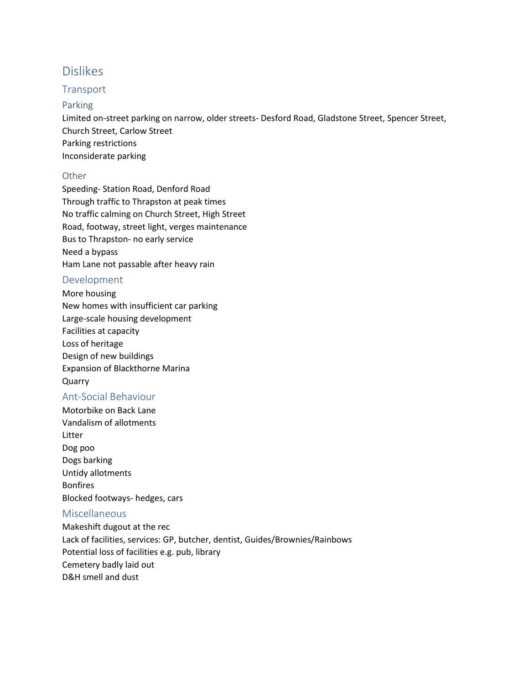# Dislikes

### **Transport**

#### Parking

Limited on-street parking on narrow, older streets- Desford Road, Gladstone Street, Spencer Street, Church Street, Carlow Street Parking restrictions Inconsiderate parking

#### Other

Speeding- Station Road, Denford Road Through traffic to Thrapston at peak times No traffic calming on Church Street, High Street Road, footway, street light, verges maintenance Bus to Thrapston- no early service Need a bypass Ham Lane not passable after heavy rain

### Development

More housing New homes with insufficient car parking Large-scale housing development Facilities at capacity Loss of heritage Design of new buildings Expansion of Blackthorne Marina Quarry

## Ant-Social Behaviour

Motorbike on Back Lane Vandalism of allotments Litter Dog poo Dogs barking Untidy allotments Bonfires Blocked footways- hedges, cars

### Miscellaneous

Makeshift dugout at the rec Lack of facilities, services: GP, butcher, dentist, Guides/Brownies/Rainbows Potential loss of facilities e.g. pub, library Cemetery badly laid out D&H smell and dust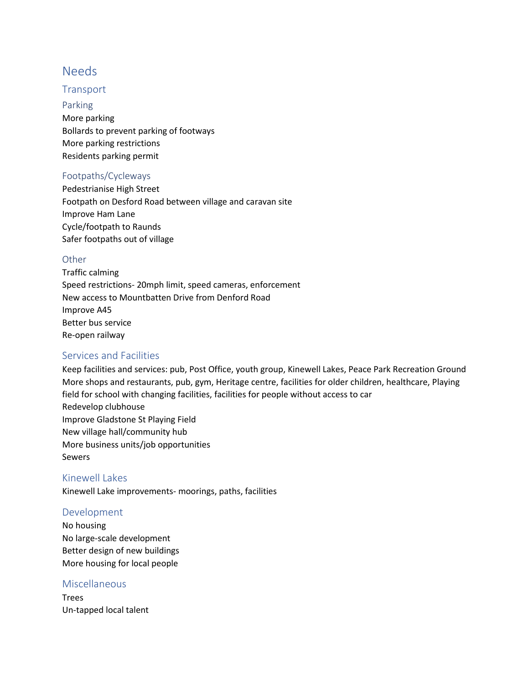# Needs

### **Transport**

Parking More parking Bollards to prevent parking of footways More parking restrictions Residents parking permit

#### Footpaths/Cycleways

Pedestrianise High Street Footpath on Desford Road between village and caravan site Improve Ham Lane Cycle/footpath to Raunds Safer footpaths out of village

#### **Other**

Traffic calming Speed restrictions- 20mph limit, speed cameras, enforcement New access to Mountbatten Drive from Denford Road Improve A45 Better bus service Re-open railway

#### Services and Facilities

Keep facilities and services: pub, Post Office, youth group, Kinewell Lakes, Peace Park Recreation Ground More shops and restaurants, pub, gym, Heritage centre, facilities for older children, healthcare, Playing field for school with changing facilities, facilities for people without access to car Redevelop clubhouse Improve Gladstone St Playing Field New village hall/community hub More business units/job opportunities Sewers

Kinewell Lakes Kinewell Lake improvements- moorings, paths, facilities

#### Development

No housing No large-scale development Better design of new buildings More housing for local people

#### Miscellaneous

Trees Un-tapped local talent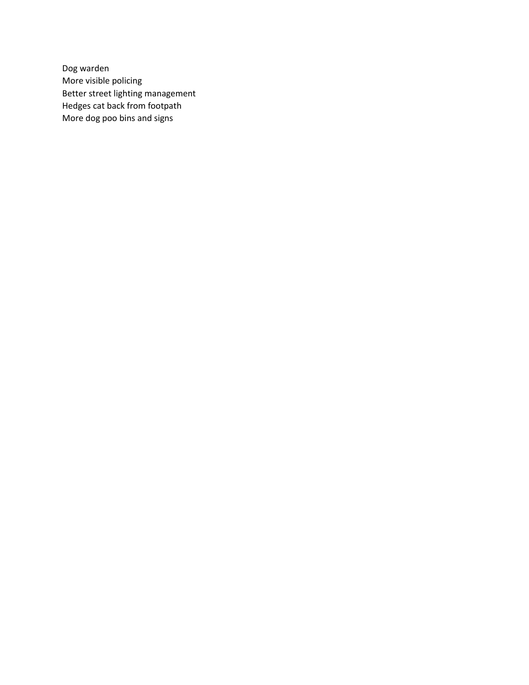Dog warden More visible policing Better street lighting management Hedges cat back from footpath More dog poo bins and signs